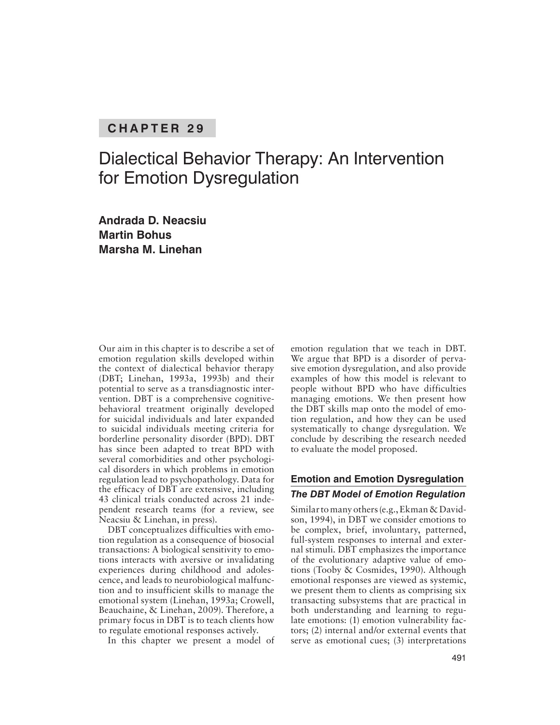# **C H A P T E R 2 9**

# Dialectical Behavior Therapy: An Intervention for Emotion Dysregulation

**Andrada D. Neacsiu Martin Bohus Marsha M. Linehan**

Our aim in this chapter is to describe a set of emotion regulation skills developed within the context of dialectical behavior therapy (DBT; Linehan, 1993a, 1993b) and their potential to serve as a transdiagnostic intervention. DBT is a comprehensive cognitivebehavioral treatment originally developed for suicidal individuals and later expanded to suicidal individuals meeting criteria for borderline personality disorder (BPD). DBT has since been adapted to treat BPD with several comorbidities and other psychological disorders in which problems in emotion regulation lead to psychopathology. Data for the efficacy of DBT are extensive, including 43 clinical trials conducted across 21 independent research teams (for a review, see Neacsiu & Linehan, in press).

DBT conceptualizes difficulties with emotion regulation as a consequence of biosocial transactions: A biological sensitivity to emotions interacts with aversive or invalidating experiences during childhood and adolescence, and leads to neurobiological malfunction and to insufficient skills to manage the emotional system (Linehan, 1993a; Crowell, Beauchaine, & Linehan, 2009). Therefore, a primary focus in DBT is to teach clients how to regulate emotional responses actively.

In this chapter we present a model of

emotion regulation that we teach in DBT. We argue that BPD is a disorder of pervasive emotion dysregulation, and also provide examples of how this model is relevant to people without BPD who have difficulties managing emotions. We then present how the DBT skills map onto the model of emotion regulation, and how they can be used systematically to change dysregulation. We conclude by describing the research needed to evaluate the model proposed.

# **Emotion and Emotion Dysregulation**

#### *The DBT Model of Emotion Regulation*

Similar to many others (e.g., Ekman & Davidson, 1994), in DBT we consider emotions to be complex, brief, involuntary, patterned, full-system responses to internal and external stimuli. DBT emphasizes the importance of the evolutionary adaptive value of emotions (Tooby & Cosmides, 1990). Although emotional responses are viewed as systemic, we present them to clients as comprising six transacting subsystems that are practical in both understanding and learning to regulate emotions: (1) emotion vulnerability factors; (2) internal and/or external events that serve as emotional cues; (3) interpretations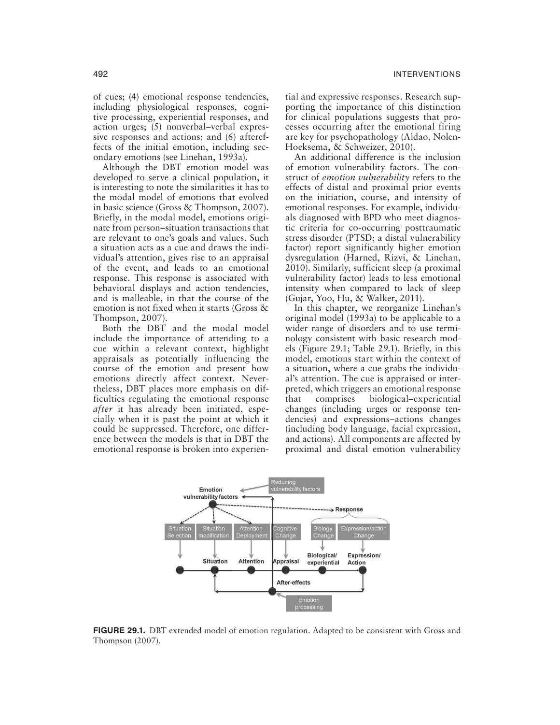of cues; (4) emotional response tendencies, including physiological responses, cognitive processing, experiential responses, and action urges; (5) nonverbal– verbal expressive responses and actions; and (6) aftereffects of the initial emotion, including secondary emotions (see Linehan, 1993a).

Although the DBT emotion model was developed to serve a clinical population, it is interesting to note the similarities it has to the modal model of emotions that evolved in basic science (Gross & Thompson, 2007). Briefly, in the modal model, emotions originate from person–situation transactions that are relevant to one's goals and values. Such a situation acts as a cue and draws the individual's attention, gives rise to an appraisal of the event, and leads to an emotional response. This response is associated with behavioral displays and action tendencies, and is malleable, in that the course of the emotion is not fixed when it starts (Gross & Thompson, 2007).

Both the DBT and the modal model include the importance of attending to a cue within a relevant context, highlight appraisals as potentially influencing the course of the emotion and present how emotions directly affect context. Nevertheless, DBT places more emphasis on difficulties regulating the emotional response *after* it has already been initiated, especially when it is past the point at which it could be suppressed. Therefore, one difference between the models is that in DBT the emotional response is broken into experiential and expressive responses. Research supporting the importance of this distinction for clinical populations suggests that processes occurring after the emotional firing are key for psychopathology (Aldao, Nolen-Hoeksema, & Schweizer, 2010).

An additional difference is the inclusion of emotion vulnerability factors. The construct of *emotion vulnerability* refers to the effects of distal and proximal prior events on the initiation, course, and intensity of emotional responses. For example, individuals diagnosed with BPD who meet diagnostic criteria for co-occurring posttraumatic stress disorder (PTSD; a distal vulnerability factor) report significantly higher emotion dysregulation (Harned, Rizvi, & Linehan, 2010). Similarly, sufficient sleep (a proximal vulnerability factor) leads to less emotional intensity when compared to lack of sleep (Gujar, Yoo, Hu, & Walker, 2011).

In this chapter, we reorganize Linehan's original model (1993a) to be applicable to a wider range of disorders and to use terminology consistent with basic research models (Figure 29.1; Table 29.1). Briefly, in this model, emotions start within the context of a situation, where a cue grabs the individual's attention. The cue is appraised or interpreted, which triggers an emotional response that comprises biological– experiential changes (including urges or response tendencies) and expressions– actions changes (including body language, facial expression, and actions). All components are affected by proximal and distal emotion vulnerability



**FIGURE 29.1.** DBT extended model of emotion regulation. Adapted to be consistent with Gross and Thompson (2007).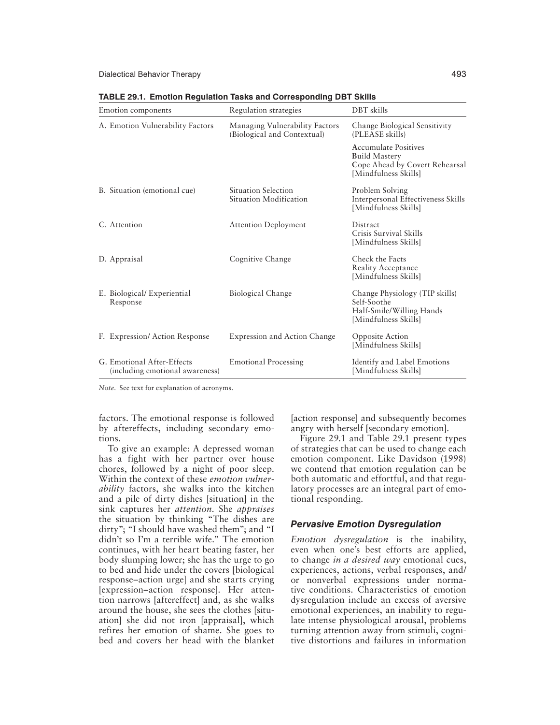| Emotion components                                            | Regulation strategies                                         | DBT skills                                                                                                    |
|---------------------------------------------------------------|---------------------------------------------------------------|---------------------------------------------------------------------------------------------------------------|
| A. Emotion Vulnerability Factors                              | Managing Vulnerability Factors<br>(Biological and Contextual) | Change Biological Sensitivity<br>(PLEASE skills)                                                              |
|                                                               |                                                               | <b>Accumulate Positives</b><br><b>Build Mastery</b><br>Cope Ahead by Covert Rehearsal<br>[Mindfulness Skills] |
| B. Situation (emotional cue)                                  | Situation Selection<br>Situation Modification                 | Problem Solving<br>Interpersonal Effectiveness Skills<br>[Mindfulness Skills]                                 |
| C. Attention                                                  | <b>Attention Deployment</b>                                   | Distract<br>Crisis Survival Skills<br>[Mindfulness Skills]                                                    |
| D. Appraisal                                                  | Cognitive Change                                              | Check the Facts<br>Reality Acceptance<br>[Mindfulness Skills]                                                 |
| E. Biological/Experiential<br>Response                        | Biological Change                                             | Change Physiology (TIP skills)<br>Self-Soothe<br>Half-Smile/Willing Hands<br>[Mindfulness Skills]             |
| F. Expression/Action Response                                 | Expression and Action Change                                  | Opposite Action<br>[Mindfulness Skills]                                                                       |
| G. Emotional After-Effects<br>(including emotional awareness) | <b>Emotional Processing</b>                                   | Identify and Label Emotions<br>[Mindfulness Skills]                                                           |

**TABLE 29.1. Emotion Regulation Tasks and Corresponding DBT Skills**

*Note.* See text for explanation of acronyms.

factors. The emotional response is followed by aftereffects, including secondary emotions.

To give an example: A depressed woman has a fight with her partner over house chores, followed by a night of poor sleep. Within the context of these *emotion vulnerability* factors, she walks into the kitchen and a pile of dirty dishes [situation] in the sink captures her *attention*. She *appraises* the situation by thinking "The dishes are dirty"; "I should have washed them"; and "I didn't so I'm a terrible wife." The emotion continues, with her heart beating faster, her body slumping lower; she has the urge to go to bed and hide under the covers [biological response– action urge] and she starts crying [expression– action response]. Her attention narrows [aftereffect] and, as she walks around the house, she sees the clothes [situation] she did not iron [appraisal], which refires her emotion of shame. She goes to bed and covers her head with the blanket

[action response] and subsequently becomes angry with herself [secondary emotion].

Figure 29.1 and Table 29.1 present types of strategies that can be used to change each emotion component. Like Davidson (1998) we contend that emotion regulation can be both automatic and effortful, and that regulatory processes are an integral part of emotional responding.

#### *Pervasive Emotion Dysregulation*

*Emotion dysregulation* is the inability, even when one's best efforts are applied, to change *in a desired way* emotional cues, experiences, actions, verbal responses, and/ or nonverbal expressions under normative conditions. Characteristics of emotion dysregulation include an excess of aversive emotional experiences, an inability to regulate intense physiological arousal, problems turning attention away from stimuli, cognitive distortions and failures in information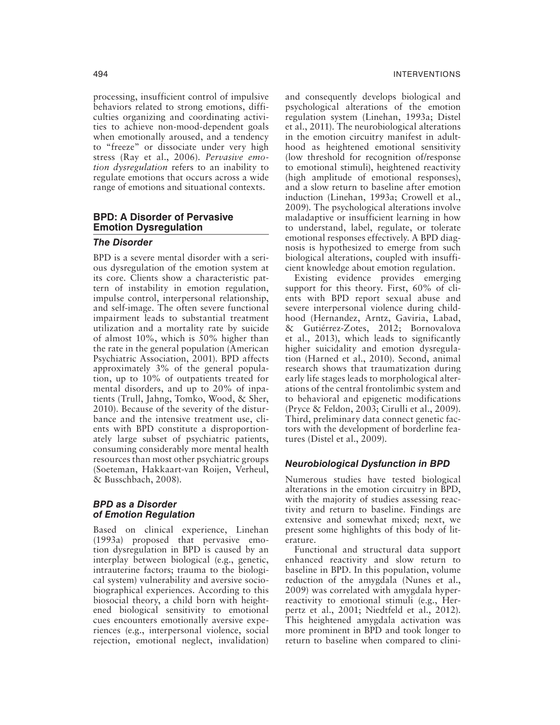processing, insufficient control of impulsive behaviors related to strong emotions, difficulties organizing and coordinating activities to achieve non-mood- dependent goals when emotionally aroused, and a tendency to "freeze" or dissociate under very high stress (Ray et al., 2006). *Pervasive emotion dysregulation* refers to an inability to regulate emotions that occurs across a wide range of emotions and situational contexts.

# **BPD: A Disorder of Pervasive Emotion Dysregulation**

#### *The Disorder*

BPD is a severe mental disorder with a serious dysregulation of the emotion system at its core. Clients show a characteristic pattern of instability in emotion regulation, impulse control, interpersonal relationship, and self-image. The often severe functional impairment leads to substantial treatment utilization and a mortality rate by suicide of almost 10%, which is 50% higher than the rate in the general population (American Psychiatric Association, 2001). BPD affects approximately 3% of the general population, up to 10% of outpatients treated for mental disorders, and up to 20% of inpatients (Trull, Jahng, Tomko, Wood, & Sher, 2010). Because of the severity of the disturbance and the intensive treatment use, clients with BPD constitute a disproportionately large subset of psychiatric patients, consuming considerably more mental health resources than most other psychiatric groups (Soeteman, Hakkaart- van Roijen, Verheul, & Busschbach, 2008).

#### *BPD as a Disorder of Emotion Regulation*

Based on clinical experience, Linehan (1993a) proposed that pervasive emotion dysregulation in BPD is caused by an interplay between biological (e.g., genetic, intrauterine factors; trauma to the biological system) vulnerability and aversive sociobiographical experiences. According to this biosocial theory, a child born with heightened biological sensitivity to emotional cues encounters emotionally aversive experiences (e.g., interpersonal violence, social rejection, emotional neglect, invalidation)

and consequently develops biological and psychological alterations of the emotion regulation system (Linehan, 1993a; Distel et al., 2011). The neurobiological alterations in the emotion circuitry manifest in adulthood as heightened emotional sensitivity (low threshold for recognition of/response to emotional stimuli), heightened reactivity (high amplitude of emotional responses), and a slow return to baseline after emotion induction (Linehan, 1993a; Crowell et al., 2009). The psychological alterations involve maladaptive or insufficient learning in how to understand, label, regulate, or tolerate emotional responses effectively. A BPD diagnosis is hypothesized to emerge from such biological alterations, coupled with insufficient knowledge about emotion regulation.

Existing evidence provides emerging support for this theory. First, 60% of clients with BPD report sexual abuse and severe interpersonal violence during childhood (Hernandez, Arntz, Gaviria, Labad, & Gutiérrez-Zotes, 2012; Bornovalova et al., 2013), which leads to significantly higher suicidality and emotion dysregulation (Harned et al., 2010). Second, animal research shows that traumatization during early life stages leads to morphological alterations of the central frontolimbic system and to behavioral and epigenetic modifications (Pryce & Feldon, 2003; Cirulli et al., 2009). Third, preliminary data connect genetic factors with the development of borderline features (Distel et al., 2009).

#### *Neurobiological Dysfunction in BPD*

Numerous studies have tested biological alterations in the emotion circuitry in BPD, with the majority of studies assessing reactivity and return to baseline. Findings are extensive and somewhat mixed; next, we present some highlights of this body of literature.

Functional and structural data support enhanced reactivity and slow return to baseline in BPD. In this population, volume reduction of the amygdala (Nunes et al., 2009) was correlated with amygdala hyperreactivity to emotional stimuli (e.g., Herpertz et al., 2001; Niedtfeld et al., 2012). This heightened amygdala activation was more prominent in BPD and took longer to return to baseline when compared to clini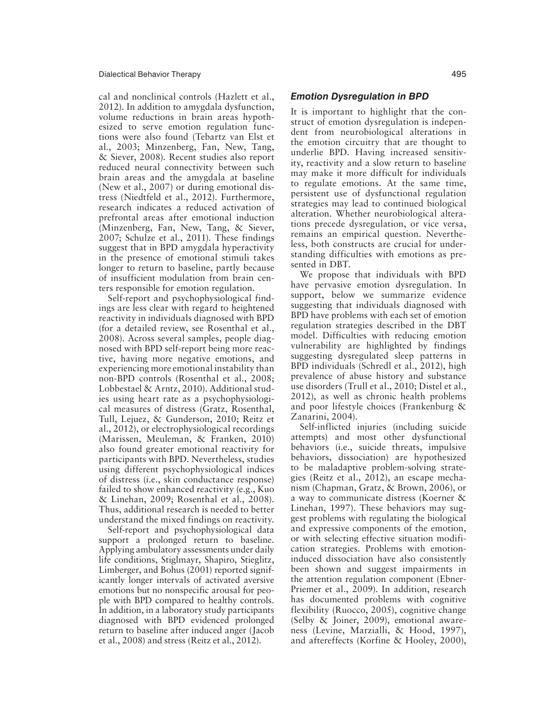cal and nonclinical controls (Hazlett et al., 2012). In addition to amygdala dysfunction, volume reductions in brain areas hypothesized to serve emotion regulation functions were also found (Tebartz van Elst et al., 2003; Minzenberg, Fan, New, Tang, & Siever, 2008). Recent studies also report reduced neural connectivity between such brain areas and the amygdala at baseline (New et al., 2007) or during emotional distress (Niedtfeld et al., 2012). Furthermore, research indicates a reduced activation of prefrontal areas after emotional induction (Minzenberg, Fan, New, Tang, & Siever, 2007; Schulze et al., 2011). These findings suggest that in BPD amygdala hyperactivity in the presence of emotional stimuli takes longer to return to baseline, partly because of insufficient modulation from brain centers responsible for emotion regulation.

Self- report and psychophysiological findings are less clear with regard to heightened reactivity in individuals diagnosed with BPD (for a detailed review, see Rosenthal et al., 2008). Across several samples, people diagnosed with BPD self-report being more reactive, having more negative emotions, and experiencing more emotional instability than non-BPD controls (Rosenthal et al., 2008; Lobbestael & Arntz, 2010). Additional studies using heart rate as a psychophysiological measures of distress (Gratz, Rosenthal, Tull, Lejuez, & Gunderson, 2010; Reitz et al., 2012), or electrophysiological recordings (Marissen, Meuleman, & Franken, 2010) also found greater emotional reactivity for participants with BPD. Nevertheless, studies using different psychophysiological indices of distress (i.e., skin conductance response) failed to show enhanced reactivity (e.g., Kuo & Linehan, 2009; Rosenthal et al., 2008). Thus, additional research is needed to better understand the mixed findings on reactivity.

Self-report and psychophysiological data support a prolonged return to baseline. Applying ambulatory assessments under daily life conditions, Stiglmayr, Shapiro, Stieglitz, Limberger, and Bohus (2001) reported significantly longer intervals of activated aversive emotions but no nonspecific arousal for people with BPD compared to healthy controls. In addition, in a laboratory study participants diagnosed with BPD evidenced prolonged return to baseline after induced anger (Jacob et al., 2008) and stress (Reitz et al., 2012).

It is important to highlight that the construct of emotion dysregulation is independent from neurobiological alterations in the emotion circuitry that are thought to underlie BPD. Having increased sensitivity, reactivity and a slow return to baseline may make it more difficult for individuals to regulate emotions. At the same time, persistent use of dysfunctional regulation strategies may lead to continued biological alteration. Whether neurobiological alterations precede dysregulation, or vice versa, remains an empirical question. Nevertheless, both constructs are crucial for understanding difficulties with emotions as presented in DBT.

We propose that individuals with BPD have pervasive emotion dysregulation. In support, below we summarize evidence suggesting that individuals diagnosed with BPD have problems with each set of emotion regulation strategies described in the DBT model. Difficulties with reducing emotion vulnerability are highlighted by findings suggesting dysregulated sleep patterns in BPD individuals (Schredl et al., 2012), high prevalence of abuse history and substance use disorders (Trull et al., 2010; Distel et al., 2012), as well as chronic health problems and poor lifestyle choices (Frankenburg & Zanarini, 2004).

Self-inflicted injuries (including suicide attempts) and most other dysfunctional behaviors (i.e., suicide threats, impulsive behaviors, dissociation) are hypothesized to be maladaptive problem-solving strategies (Reitz et al., 2012), an escape mechanism (Chapman, Gratz, & Brown, 2006), or a way to communicate distress (Koerner & Linehan, 1997). These behaviors may suggest problems with regulating the biological and expressive components of the emotion, or with selecting effective situation modification strategies. Problems with emotioninduced dissociation have also consistently been shown and suggest impairments in the attention regulation component (Ebner-Priemer et al., 2009). In addition, research has documented problems with cognitive flexibility (Ruocco, 2005), cognitive change (Selby & Joiner, 2009), emotional awareness (Levine, Marzialli, & Hood, 1997), and aftereffects (Korfine & Hooley, 2000),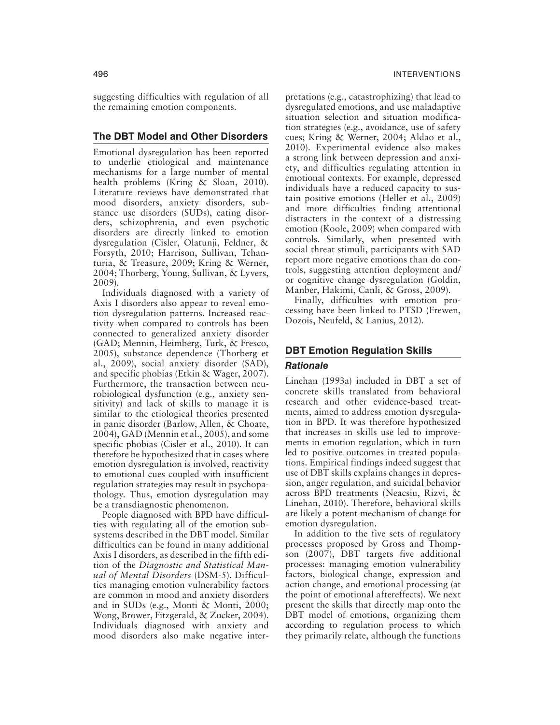suggesting difficulties with regulation of all the remaining emotion components.

# **The DBT Model and Other Disorders**

Emotional dysregulation has been reported to underlie etiological and maintenance mechanisms for a large number of mental health problems (Kring & Sloan, 2010). Literature reviews have demonstrated that mood disorders, anxiety disorders, substance use disorders (SUDs), eating disorders, schizophrenia, and even psychotic disorders are directly linked to emotion dysregulation (Cisler, Olatunji, Feldner, & Forsyth, 2010; Harrison, Sullivan, Tchanturia, & Treasure, 2009; Kring & Werner, 2004; Thorberg, Young, Sullivan, & Lyvers, 2009).

Individuals diagnosed with a variety of Axis I disorders also appear to reveal emotion dysregulation patterns. Increased reactivity when compared to controls has been connected to generalized anxiety disorder (GAD; Mennin, Heimberg, Turk, & Fresco, 2005), substance dependence (Thorberg et al., 2009), social anxiety disorder (SAD), and specific phobias (Etkin & Wager, 2007). Furthermore, the transaction between neurobiological dysfunction (e.g., anxiety sensitivity) and lack of skills to manage it is similar to the etiological theories presented in panic disorder (Barlow, Allen, & Choate, 2004), GAD (Mennin et al., 2005), and some specific phobias (Cisler et al., 2010). It can therefore be hypothesized that in cases where emotion dysregulation is involved, reactivity to emotional cues coupled with insufficient regulation strategies may result in psychopathology. Thus, emotion dysregulation may be a transdiagnostic phenomenon.

People diagnosed with BPD have difficulties with regulating all of the emotion subsystems described in the DBT model. Similar difficulties can be found in many additional Axis I disorders, as described in the fifth edition of the *Diagnostic and Statistical Manual of Mental Disorders* (DSM-5). Difficulties managing emotion vulnerability factors are common in mood and anxiety disorders and in SUDs (e.g., Monti & Monti, 2000; Wong, Brower, Fitzgerald, & Zucker, 2004). Individuals diagnosed with anxiety and mood disorders also make negative inter-

pretations (e.g., catastrophizing) that lead to dysregulated emotions, and use maladaptive situation selection and situation modification strategies (e.g., avoidance, use of safety cues; Kring & Werner, 2004; Aldao et al., 2010). Experimental evidence also makes a strong link between depression and anxiety, and difficulties regulating attention in emotional contexts. For example, depressed individuals have a reduced capacity to sustain positive emotions (Heller et al., 2009) and more difficulties finding attentional distracters in the context of a distressing emotion (Koole, 2009) when compared with controls. Similarly, when presented with social threat stimuli, participants with SAD report more negative emotions than do controls, suggesting attention deployment and/ or cognitive change dysregulation (Goldin, Manber, Hakimi, Canli, & Gross, 2009).

Finally, difficulties with emotion processing have been linked to PTSD (Frewen, Dozois, Neufeld, & Lanius, 2012).

#### **DBT Emotion Regulation Skills**

#### *Rationale*

Linehan (1993a) included in DBT a set of concrete skills translated from behavioral research and other evidence-based treatments, aimed to address emotion dysregulation in BPD. It was therefore hypothesized that increases in skills use led to improvements in emotion regulation, which in turn led to positive outcomes in treated populations. Empirical findings indeed suggest that use of DBT skills explains changes in depression, anger regulation, and suicidal behavior across BPD treatments (Neacsiu, Rizvi, & Linehan, 2010). Therefore, behavioral skills are likely a potent mechanism of change for emotion dysregulation.

In addition to the five sets of regulatory processes proposed by Gross and Thompson (2007), DBT targets five additional processes: managing emotion vulnerability factors, biological change, expression and action change, and emotional processing (at the point of emotional aftereffects). We next present the skills that directly map onto the DBT model of emotions, organizing them according to regulation process to which they primarily relate, although the functions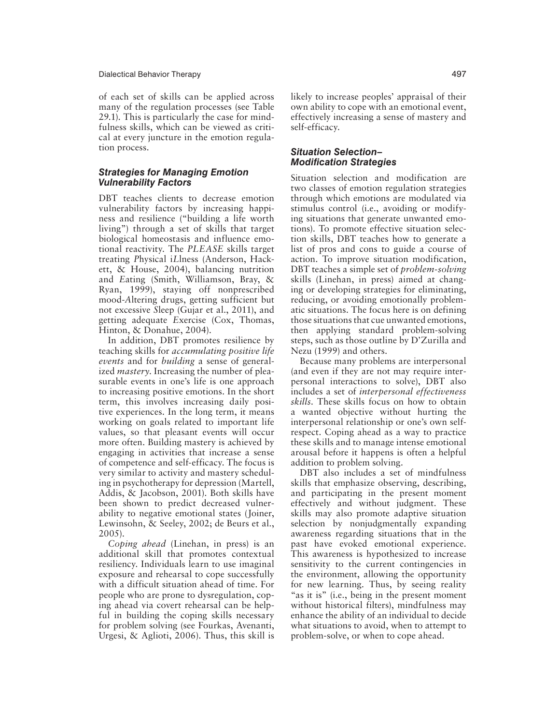of each set of skills can be applied across many of the regulation processes (see Table 29.1). This is particularly the case for mindfulness skills, which can be viewed as critical at every juncture in the emotion regulation process.

# *Strategies for Managing Emotion Vulnerability Factors*

DBT teaches clients to decrease emotion vulnerability factors by increasing happiness and resilience ("building a life worth living") through a set of skills that target biological homeostasis and influence emotional reactivity. The *PLEASE* skills target treating *P*hysical i*L*lness (Anderson, Hackett, & House, 2004), balancing nutrition and *E*ating (Smith, Williamson, Bray, & Ryan, 1999), staying off nonprescribed mood-*A*ltering drugs, getting sufficient but not excessive *S*leep (Gujar et al., 2011), and getting adequate *E*xercise (Cox, Thomas, Hinton, & Donahue, 2004).

In addition, DBT promotes resilience by teaching skills for *accumulating positive life events* and for *building* a sense of generalized *mastery*. Increasing the number of pleasurable events in one's life is one approach to increasing positive emotions. In the short term, this involves increasing daily positive experiences. In the long term, it means working on goals related to important life values, so that pleasant events will occur more often. Building mastery is achieved by engaging in activities that increase a sense of competence and self- efficacy. The focus is very similar to activity and mastery scheduling in psychotherapy for depression (Martell, Addis, & Jacobson, 2001). Both skills have been shown to predict decreased vulnerability to negative emotional states (Joiner, Lewinsohn, & Seeley, 2002; de Beurs et al., 2005).

*Coping ahead* (Linehan, in press) is an additional skill that promotes contextual resiliency. Individuals learn to use imaginal exposure and rehearsal to cope successfully with a difficult situation ahead of time. For people who are prone to dysregulation, coping ahead via covert rehearsal can be helpful in building the coping skills necessary for problem solving (see Fourkas, Avenanti, Urgesi, & Aglioti, 2006). Thus, this skill is

likely to increase peoples' appraisal of their own ability to cope with an emotional event, effectively increasing a sense of mastery and self-efficacy.

#### *Situation Selection– Modification Strategies*

Situation selection and modification are two classes of emotion regulation strategies through which emotions are modulated via stimulus control (i.e., avoiding or modifying situations that generate unwanted emotions). To promote effective situation selection skills, DBT teaches how to generate a list of pros and cons to guide a course of action. To improve situation modification, DBT teaches a simple set of *problem- solving* skills (Linehan, in press) aimed at changing or developing strategies for eliminating, reducing, or avoiding emotionally problematic situations. The focus here is on defining those situations that cue unwanted emotions, then applying standard problem-solving steps, such as those outline by D'Zurilla and Nezu (1999) and others.

Because many problems are interpersonal (and even if they are not may require interpersonal interactions to solve), DBT also includes a set of *interpersonal effectiveness skills*. These skills focus on how to obtain a wanted objective without hurting the interpersonal relationship or one's own selfrespect. Coping ahead as a way to practice these skills and to manage intense emotional arousal before it happens is often a helpful addition to problem solving.

DBT also includes a set of mindfulness skills that emphasize observing, describing, and participating in the present moment effectively and without judgment. These skills may also promote adaptive situation selection by nonjudgmentally expanding awareness regarding situations that in the past have evoked emotional experience. This awareness is hypothesized to increase sensitivity to the current contingencies in the environment, allowing the opportunity for new learning. Thus, by seeing reality "as it is" (i.e., being in the present moment without historical filters), mindfulness may enhance the ability of an individual to decide what situations to avoid, when to attempt to problem-solve, or when to cope ahead.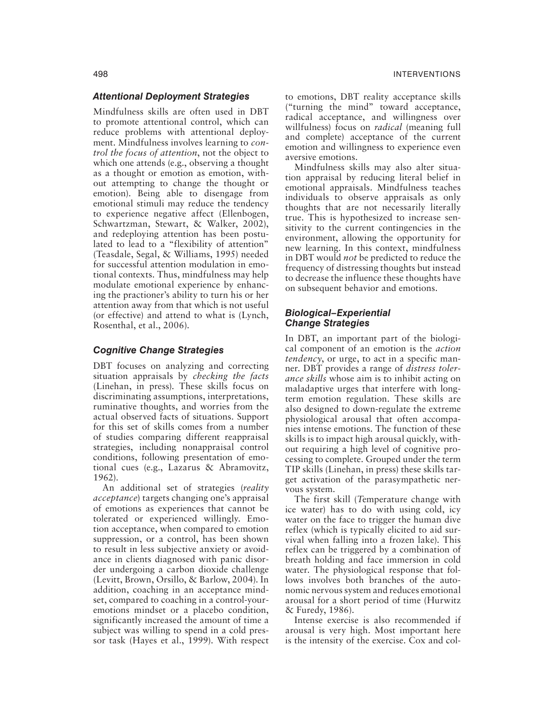#### *Attentional Deployment Strategies*

Mindfulness skills are often used in DBT to promote attentional control, which can reduce problems with attentional deployment. Mindfulness involves learning to *control the focus of attention*, not the object to which one attends (e.g., observing a thought as a thought or emotion as emotion, without attempting to change the thought or emotion). Being able to disengage from emotional stimuli may reduce the tendency to experience negative affect (Ellenbogen, Schwartzman, Stewart, & Walker, 2002), and redeploying attention has been postulated to lead to a "flexibility of attention" (Teasdale, Segal, & Williams, 1995) needed for successful attention modulation in emotional contexts. Thus, mindfulness may help modulate emotional experience by enhancing the practioner's ability to turn his or her attention away from that which is not useful (or effective) and attend to what is (Lynch, Rosenthal, et al., 2006).

#### *Cognitive Change Strategies*

DBT focuses on analyzing and correcting situation appraisals by *checking the facts* (Linehan, in press). These skills focus on discriminating assumptions, interpretations, ruminative thoughts, and worries from the actual observed facts of situations. Support for this set of skills comes from a number of studies comparing different reappraisal strategies, including nonappraisal control conditions, following presentation of emotional cues (e.g., Lazarus & Abramovitz, 1962).

An additional set of strategies (*reality acceptance*) targets changing one's appraisal of emotions as experiences that cannot be tolerated or experienced willingly. Emotion acceptance, when compared to emotion suppression, or a control, has been shown to result in less subjective anxiety or avoidance in clients diagnosed with panic disorder undergoing a carbon dioxide challenge (Levitt, Brown, Orsillo, & Barlow, 2004). In addition, coaching in an acceptance mindset, compared to coaching in a control-youremotions mindset or a placebo condition, significantly increased the amount of time a subject was willing to spend in a cold pressor task (Hayes et al., 1999). With respect

to emotions, DBT reality acceptance skills ("turning the mind" toward acceptance, radical acceptance, and willingness over willfulness) focus on *radical* (meaning full and complete) acceptance of the current emotion and willingness to experience even aversive emotions.

Mindfulness skills may also alter situation appraisal by reducing literal belief in emotional appraisals. Mindfulness teaches individuals to observe appraisals as only thoughts that are not necessarily literally true. This is hypothesized to increase sensitivity to the current contingencies in the environment, allowing the opportunity for new learning. In this context, mindfulness in DBT would *not* be predicted to reduce the frequency of distressing thoughts but instead to decrease the influence these thoughts have on subsequent behavior and emotions.

#### *Biological–Experiential Change Strategies*

In DBT, an important part of the biological component of an emotion is the *action tendency*, or urge, to act in a specific manner. DBT provides a range of *distress tolerance skills* whose aim is to inhibit acting on maladaptive urges that interfere with longterm emotion regulation. These skills are also designed to down-regulate the extreme physiological arousal that often accompanies intense emotions. The function of these skills is to impact high arousal quickly, without requiring a high level of cognitive processing to complete. Grouped under the term TIP skills (Linehan, in press) these skills target activation of the parasympathetic nervous system.

The first skill (*T*emperature change with ice water) has to do with using cold, icy water on the face to trigger the human dive reflex (which is typically elicited to aid survival when falling into a frozen lake). This reflex can be triggered by a combination of breath holding and face immersion in cold water. The physiological response that follows involves both branches of the autonomic nervous system and reduces emotional arousal for a short period of time (Hurwitz & Furedy, 1986).

Intense exercise is also recommended if arousal is very high. Most important here is the intensity of the exercise. Cox and col-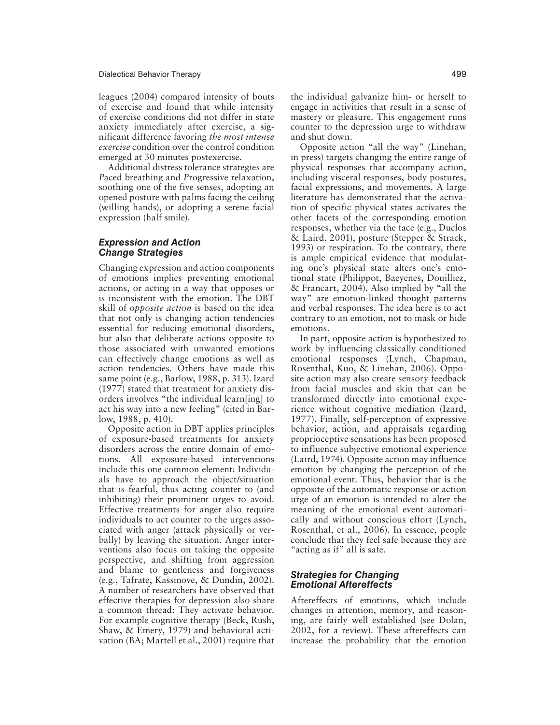leagues (2004) compared intensity of bouts of exercise and found that while intensity of exercise conditions did not differ in state anxiety immediately after exercise, a significant difference favoring *the most intense exercise* condition over the control condition emerged at 30 minutes postexercise.

Additional distress tolerance strategies are *P*aced breathing and *P*rogressive relaxation, soothing one of the five senses, adopting an opened posture with palms facing the ceiling (willing hands), or adopting a serene facial expression (half smile).

#### *Expression and Action Change Strategies*

Changing expression and action components of emotions implies preventing emotional actions, or acting in a way that opposes or is inconsistent with the emotion. The DBT skill of *opposite action* is based on the idea that not only is changing action tendencies essential for reducing emotional disorders, but also that deliberate actions opposite to those associated with unwanted emotions can effectively change emotions as well as action tendencies. Others have made this same point (e.g., Barlow, 1988, p. 313). Izard (1977) stated that treatment for anxiety disorders involves "the individual learn[ing] to act his way into a new feeling" (cited in Barlow, 1988, p. 410).

Opposite action in DBT applies principles of exposure- based treatments for anxiety disorders across the entire domain of emotions. All exposure- based interventions include this one common element: Individuals have to approach the object/situation that is fearful, thus acting counter to (and inhibiting) their prominent urges to avoid. Effective treatments for anger also require individuals to act counter to the urges associated with anger (attack physically or verbally) by leaving the situation. Anger interventions also focus on taking the opposite perspective, and shifting from aggression and blame to gentleness and forgiveness (e.g., Tafrate, Kassinove, & Dundin, 2002). A number of researchers have observed that effective therapies for depression also share a common thread: They activate behavior. For example cognitive therapy (Beck, Rush, Shaw, & Emery, 1979) and behavioral activation (BA; Martell et al., 2001) require that the individual galvanize him- or herself to engage in activities that result in a sense of mastery or pleasure. This engagement runs counter to the depression urge to withdraw and shut down.

Opposite action "all the way" (Linehan, in press) targets changing the entire range of physical responses that accompany action, including visceral responses, body postures, facial expressions, and movements. A large literature has demonstrated that the activation of specific physical states activates the other facets of the corresponding emotion responses, whether via the face (e.g., Duclos & Laird, 2001), posture (Stepper & Strack, 1993) or respiration. To the contrary, there is ample empirical evidence that modulating one's physical state alters one's emotional state (Philippot, Baeyenes, Douilliez, & Francart, 2004). Also implied by "all the way" are emotion-linked thought patterns and verbal responses. The idea here is to act contrary to an emotion, not to mask or hide emotions.

In part, opposite action is hypothesized to work by influencing classically conditioned emotional responses (Lynch, Chapman, Rosenthal, Kuo, & Linehan, 2006). Opposite action may also create sensory feedback from facial muscles and skin that can be transformed directly into emotional experience without cognitive mediation (Izard, 1977). Finally, self-perception of expressive behavior, action, and appraisals regarding proprioceptive sensations has been proposed to influence subjective emotional experience (Laird, 1974). Opposite action may influence emotion by changing the perception of the emotional event. Thus, behavior that is the opposite of the automatic response or action urge of an emotion is intended to alter the meaning of the emotional event automatically and without conscious effort (Lynch, Rosenthal, et al., 2006). In essence, people conclude that they feel safe because they are "acting as if" all is safe.

#### *Strategies for Changing Emotional Aftereffects*

Aftereffects of emotions, which include changes in attention, memory, and reasoning, are fairly well established (see Dolan, 2002, for a review). These aftereffects can increase the probability that the emotion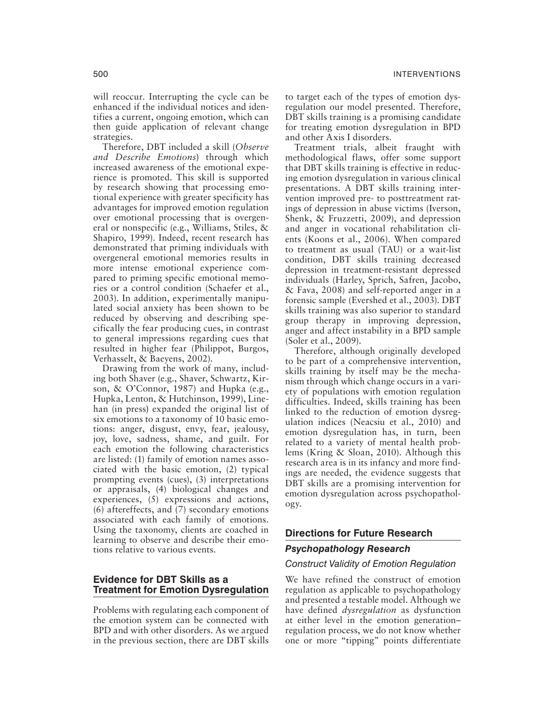will reoccur. Interrupting the cycle can be enhanced if the individual notices and identifies a current, ongoing emotion, which can then guide application of relevant change strategies.

Therefore, DBT included a skill (*Observe and Describe Emotions***)** through which increased awareness of the emotional experience is promoted. This skill is supported by research showing that processing emotional experience with greater specificity has advantages for improved emotion regulation over emotional processing that is overgeneral or nonspecific (e.g., Williams, Stiles, & Shapiro, 1999). Indeed, recent research has demonstrated that priming individuals with overgeneral emotional memories results in more intense emotional experience compared to priming specific emotional memories or a control condition (Schaefer et al., 2003). In addition, experimentally manipulated social anxiety has been shown to be reduced by observing and describing specifically the fear producing cues, in contrast to general impressions regarding cues that resulted in higher fear (Philippot, Burgos, Verhasselt, & Baeyens, 2002).

Drawing from the work of many, including both Shaver (e.g., Shaver, Schwartz, Kirson, & O'Connor, 1987) and Hupka (e.g., Hupka, Lenton, & Hutchinson, 1999), Linehan (in press**)** expanded the original list of six emotions to a taxonomy of 10 basic emotions: anger, disgust, envy, fear, jealousy, joy, love, sadness, shame, and guilt. For each emotion the following characteristics are listed: (1) family of emotion names associated with the basic emotion, (2) typical prompting events (cues), (3) interpretations or appraisals, (4) biological changes and experiences, (5) expressions and actions, (6) aftereffects, and (7) secondary emotions associated with each family of emotions. Using the taxonomy, clients are coached in learning to observe and describe their emotions relative to various events.

# **Evidence for DBT Skills as a Treatment for Emotion Dysregulation**

Problems with regulating each component of the emotion system can be connected with BPD and with other disorders. As we argued in the previous section, there are DBT skills

to target each of the types of emotion dysregulation our model presented. Therefore, DBT skills training is a promising candidate for treating emotion dysregulation in BPD and other Axis I disorders.

Treatment trials, albeit fraught with methodological flaws, offer some support that DBT skills training is effective in reducing emotion dysregulation in various clinical presentations. A DBT skills training intervention improved pre- to posttreatment ratings of depression in abuse victims (Iverson, Shenk, & Fruzzetti, 2009), and depression and anger in vocational rehabilitation clients (Koons et al., 2006). When compared to treatment as usual (TAU) or a wait-list condition, DBT skills training decreased depression in treatment-resistant depressed individuals (Harley, Sprich, Safren, Jacobo, & Fava, 2008) and self- reported anger in a forensic sample (Evershed et al., 2003). DBT skills training was also superior to standard group therapy in improving depression, anger and affect instability in a BPD sample (Soler et al., 2009).

Therefore, although originally developed to be part of a comprehensive intervention, skills training by itself may be the mechanism through which change occurs in a variety of populations with emotion regulation difficulties. Indeed, skills training has been linked to the reduction of emotion dysregulation indices (Neacsiu et al., 2010) and emotion dysregulation has, in turn, been related to a variety of mental health problems (Kring & Sloan, 2010). Although this research area is in its infancy and more findings are needed, the evidence suggests that DBT skills are a promising intervention for emotion dysregulation across psychopathology.

# **Directions for Future Research**

#### *Psychopathology Research*

#### *Construct Validity of Emotion Regulation*

We have refined the construct of emotion regulation as applicable to psychopathology and presented a testable model. Although we have defined *dysregulation* as dysfunction at either level in the emotion generation– regulation process, we do not know whether one or more "tipping" points differentiate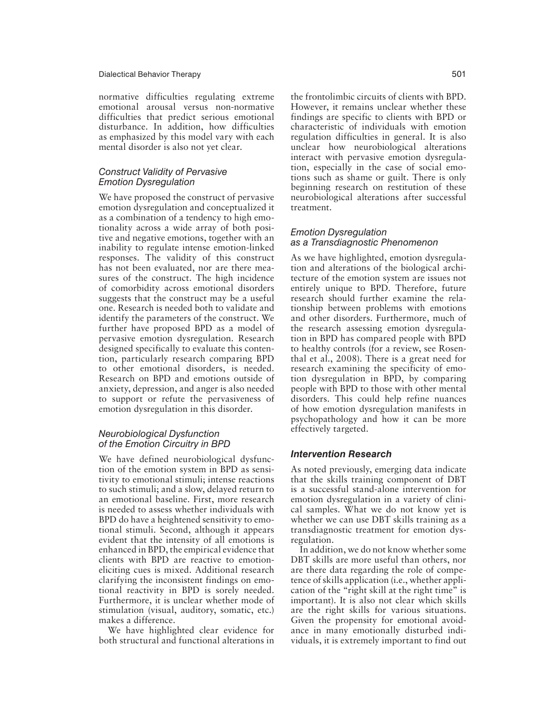normative difficulties regulating extreme emotional arousal versus non-normative difficulties that predict serious emotional disturbance. In addition, how difficulties as emphasized by this model vary with each mental disorder is also not yet clear.

#### *Construct Validity of Pervasive Emotion Dysregulation*

We have proposed the construct of pervasive emotion dysregulation and conceptualized it as a combination of a tendency to high emotionality across a wide array of both positive and negative emotions, together with an inability to regulate intense emotion-linked responses. The validity of this construct has not been evaluated, nor are there measures of the construct. The high incidence of comorbidity across emotional disorders suggests that the construct may be a useful one. Research is needed both to validate and identify the parameters of the construct. We further have proposed BPD as a model of pervasive emotion dysregulation. Research designed specifically to evaluate this contention, particularly research comparing BPD to other emotional disorders, is needed. Research on BPD and emotions outside of anxiety, depression, and anger is also needed to support or refute the pervasiveness of emotion dysregulation in this disorder.

#### *Neurobiological Dysfunction of the Emotion Circuitry in BPD*

We have defined neurobiological dysfunction of the emotion system in BPD as sensitivity to emotional stimuli; intense reactions to such stimuli; and a slow, delayed return to an emotional baseline. First, more research is needed to assess whether individuals with BPD do have a heightened sensitivity to emotional stimuli. Second, although it appears evident that the intensity of all emotions is enhanced in BPD, the empirical evidence that clients with BPD are reactive to emotioneliciting cues is mixed. Additional research clarifying the inconsistent findings on emotional reactivity in BPD is sorely needed. Furthermore, it is unclear whether mode of stimulation (visual, auditory, somatic, etc.) makes a difference.

We have highlighted clear evidence for both structural and functional alterations in the frontolimbic circuits of clients with BPD. However, it remains unclear whether these findings are specific to clients with BPD or characteristic of individuals with emotion regulation difficulties in general. It is also unclear how neurobiological alterations interact with pervasive emotion dysregulation, especially in the case of social emotions such as shame or guilt. There is only beginning research on restitution of these neurobiological alterations after successful treatment.

# *Emotion Dysregulation as a Transdiagnostic Phenomenon*

As we have highlighted, emotion dysregulation and alterations of the biological architecture of the emotion system are issues not entirely unique to BPD. Therefore, future research should further examine the relationship between problems with emotions and other disorders. Furthermore, much of the research assessing emotion dysregulation in BPD has compared people with BPD to healthy controls (for a review, see Rosenthal et al., 2008). There is a great need for research examining the specificity of emotion dysregulation in BPD, by comparing people with BPD to those with other mental disorders. This could help refine nuances of how emotion dysregulation manifests in psychopathology and how it can be more effectively targeted.

# *Intervention Research*

As noted previously, emerging data indicate that the skills training component of DBT is a successful stand-alone intervention for emotion dysregulation in a variety of clinical samples. What we do not know yet is whether we can use DBT skills training as a transdiagnostic treatment for emotion dysregulation.

In addition, we do not know whether some DBT skills are more useful than others, nor are there data regarding the role of competence of skills application (i.e., whether application of the "right skill at the right time" is important). It is also not clear which skills are the right skills for various situations. Given the propensity for emotional avoidance in many emotionally disturbed individuals, it is extremely important to find out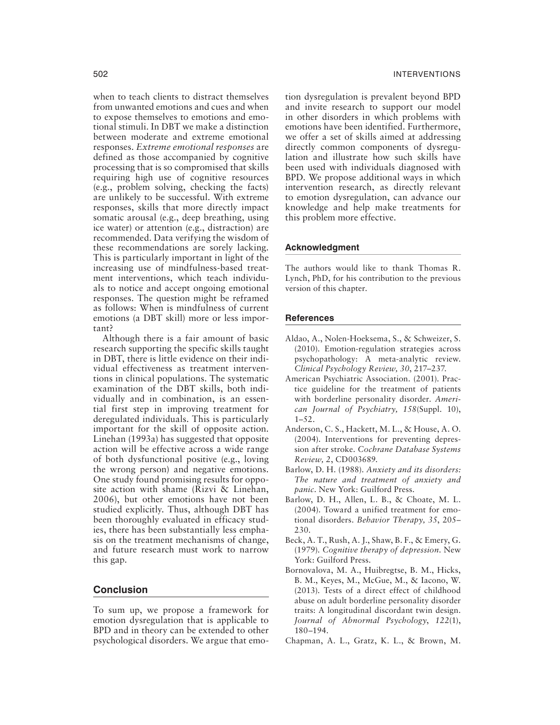when to teach clients to distract themselves from unwanted emotions and cues and when to expose themselves to emotions and emotional stimuli. In DBT we make a distinction between moderate and extreme emotional responses. *Extreme emotional responses* are defined as those accompanied by cognitive processing that is so compromised that skills requiring high use of cognitive resources (e.g., problem solving, checking the facts) are unlikely to be successful. With extreme responses, skills that more directly impact somatic arousal (e.g., deep breathing, using ice water) or attention (e.g., distraction) are recommended. Data verifying the wisdom of these recommendations are sorely lacking. This is particularly important in light of the increasing use of mindfulness-based treatment interventions, which teach individuals to notice and accept ongoing emotional responses. The question might be reframed as follows: When is mindfulness of current emotions (a DBT skill) more or less important?

Although there is a fair amount of basic research supporting the specific skills taught in DBT, there is little evidence on their individual effectiveness as treatment interventions in clinical populations. The systematic examination of the DBT skills, both individually and in combination, is an essential first step in improving treatment for deregulated individuals. This is particularly important for the skill of opposite action. Linehan (1993a) has suggested that opposite action will be effective across a wide range of both dysfunctional positive (e.g., loving the wrong person) and negative emotions. One study found promising results for opposite action with shame (Rizvi & Linehan, 2006), but other emotions have not been studied explicitly. Thus, although DBT has been thoroughly evaluated in efficacy studies, there has been substantially less emphasis on the treatment mechanisms of change, and future research must work to narrow this gap.

#### **Conclusion**

To sum up, we propose a framework for emotion dysregulation that is applicable to BPD and in theory can be extended to other psychological disorders. We argue that emo-

#### 502 INTERVENTIONS

tion dysregulation is prevalent beyond BPD and invite research to support our model in other disorders in which problems with emotions have been identified. Furthermore, we offer a set of skills aimed at addressing directly common components of dysregulation and illustrate how such skills have been used with individuals diagnosed with BPD. We propose additional ways in which intervention research, as directly relevant to emotion dysregulation, can advance our knowledge and help make treatments for this problem more effective.

#### **Acknowledgment**

The authors would like to thank Thomas R. Lynch, PhD, for his contribution to the previous version of this chapter.

#### **References**

- Aldao, A., Nolen-Hoeksema, S., & Schweizer, S. (2010). Emotion- regulation strategies across psychopathology: A meta-analytic review. *Clinical Psychology Review, 30*, 217–237.
- American Psychiatric Association. (2001). Practice guideline for the treatment of patients with borderline personality disorder. *American Journal of Psychiatry, 158*(Suppl. 10), 1–52.
- Anderson, C. S., Hackett, M. L., & House, A. O. (2004). Interventions for preventing depression after stroke. *Cochrane Database Systems Review, 2*, CD003689.
- Barlow, D. H. (1988). *Anxiety and its disorders: The nature and treatment of anxiety and panic*. New York: Guilford Press.
- Barlow, D. H., Allen, L. B., & Choate, M. L. (2004). Toward a unified treatment for emotional disorders. *Behavior Therapy, 35*, 205– 230.
- Beck, A. T., Rush, A. J., Shaw, B. F., & Emery, G. (1979). *Cognitive therapy of depression*. New York: Guilford Press.
- Bornovalova, M. A., Huibregtse, B. M., Hicks, B. M., Keyes, M., McGue, M., & Iacono, W. (2013). Tests of a direct effect of childhood abuse on adult borderline personality disorder traits: A longitudinal discordant twin design. *Journal of Abnormal Psychology*, *122*(1), 180–194.
- Chapman, A. L., Gratz, K. L., & Brown, M.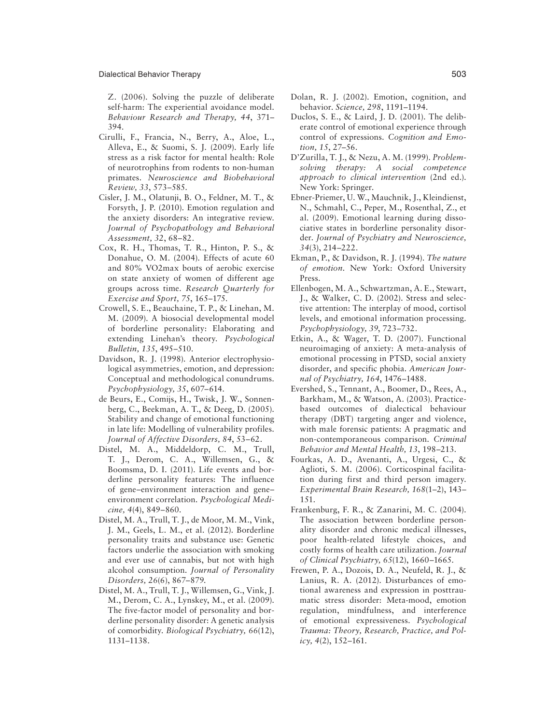Z. (2006). Solving the puzzle of deliberate self-harm: The experiential avoidance model. *Behaviour Research and Therapy, 44*, 371– 394.

- Cirulli, F., Francia, N., Berry, A., Aloe, L., Alleva, E., & Suomi, S. J. (2009). Early life stress as a risk factor for mental health: Role of neurotrophins from rodents to non-human primates. *Neuroscience and Biobehavioral Review, 33*, 573–585.
- Cisler, J. M., Olatunji, B. O., Feldner, M. T., & Forsyth, J. P. (2010). Emotion regulation and the anxiety disorders: An integrative review. *Journal of Psychopathology and Behavioral Assessment, 32*, 68–82.
- Cox, R. H., Thomas, T. R., Hinton, P. S., & Donahue, O. M. (2004). Effects of acute 60 and 80% VO2max bouts of aerobic exercise on state anxiety of women of different age groups across time. *Research Quarterly for Exercise and Sport, 75*, 165–175.
- Crowell, S. E., Beauchaine, T. P., & Linehan, M. M. (2009). A biosocial developmental model of borderline personality: Elaborating and extending Linehan's theory. *Psychological Bulletin, 135*, 495–510.
- Davidson, R. J. (1998). Anterior electrophysiological asymmetries, emotion, and depression: Conceptual and methodological conundrums. *Psychophysiology, 35*, 607–614.
- de Beurs, E., Comijs, H., Twisk, J. W., Sonnenberg, C., Beekman, A. T., & Deeg, D. (2005). Stability and change of emotional functioning in late life: Modelling of vulnerability profiles. *Journal of Affective Disorders, 84*, 53–62.
- Distel, M. A., Middeldorp, C. M., Trull, T. J., Derom, C. A., Willemsen, G., & Boomsma, D. I. (2011). Life events and borderline personality features: The influence of gene– environment interaction and gene– environment correlation. *Psychological Medicine, 4*(4), 849–860.
- Distel, M. A., Trull, T. J., de Moor, M. M., Vink, J. M., Geels, L. M., et al. (2012). Borderline personality traits and substance use: Genetic factors underlie the association with smoking and ever use of cannabis, but not with high alcohol consumption. *Journal of Personality Disorders, 26*(6), 867–879.
- Distel, M. A., Trull, T. J., Willemsen, G., Vink, J. M., Derom, C. A., Lynskey, M., et al. (2009). The five-factor model of personality and borderline personality disorder: A genetic analysis of comorbidity. *Biological Psychiatry, 66*(12), 1131–1138.
- Dolan, R. J. (2002). Emotion, cognition, and behavior. *Science, 298*, 1191–1194.
- Duclos, S. E., & Laird, J. D. (2001). The deliberate control of emotional experience through control of expressions. *Cognition and Emotion, 15*, 27–56.
- D'Zurilla, T. J., & Nezu, A. M. (1999). *Problemsolving therapy: A social competence approach to clinical intervention* (2nd ed.). New York: Springer.
- Ebner- Priemer, U. W., Mauchnik, J., Kleindienst, N., Schmahl, C., Peper, M., Rosenthal, Z., et al. (2009). Emotional learning during dissociative states in borderline personality disorder. *Journal of Psychiatry and Neuroscience, 34*(3), 214–222.
- Ekman, P., & Davidson, R. J. (1994). *The nature of emotion*. New York: Oxford University Press.
- Ellenbogen, M. A., Schwartzman, A. E., Stewart, J., & Walker, C. D. (2002). Stress and selective attention: The interplay of mood, cortisol levels, and emotional information processing. *Psychophysiology, 39*, 723–732.
- Etkin, A., & Wager, T. D. (2007). Functional neuroimaging of anxiety: A meta-analysis of emotional processing in PTSD, social anxiety disorder, and specific phobia. *American Journal of Psychiatry, 164*, 1476–1488.
- Evershed, S., Tennant, A., Boomer, D., Rees, A., Barkham, M., & Watson, A. (2003). Practicebased outcomes of dialectical behaviour therapy (DBT) targeting anger and violence, with male forensic patients: A pragmatic and non- contemporaneous comparison. *Criminal Behavior and Mental Health, 13*, 198–213.
- Fourkas, A. D., Avenanti, A., Urgesi, C., & Aglioti, S. M. (2006). Corticospinal facilitation during first and third person imagery. *Experimental Brain Research, 168*(1–2), 143– 151.
- Frankenburg, F. R., & Zanarini, M. C. (2004). The association between borderline personality disorder and chronic medical illnesses, poor health- related lifestyle choices, and costly forms of health care utilization. *Journal of Clinical Psychiatry, 65*(12), 1660–1665.
- Frewen, P. A., Dozois, D. A., Neufeld, R. J., & Lanius, R. A. (2012). Disturbances of emotional awareness and expression in posttraumatic stress disorder: Meta-mood, emotion regulation, mindfulness, and interference of emotional expressiveness. *Psychological Trauma: Theory, Research, Practice, and Policy, 4*(2), 152–161.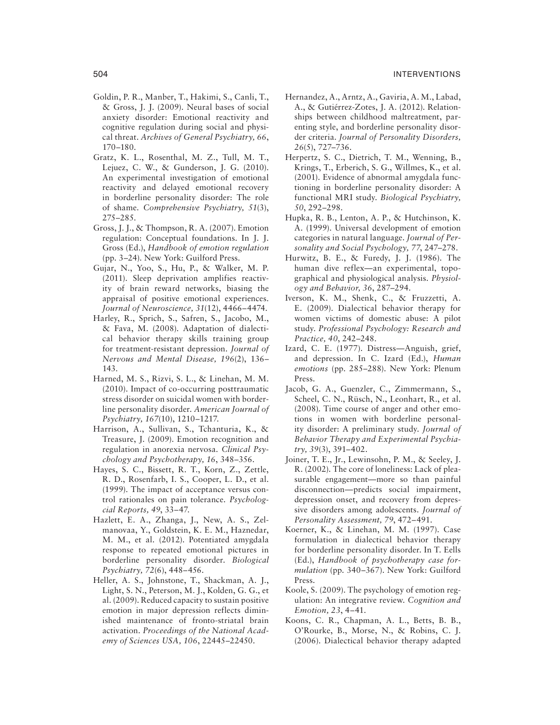- Goldin, P. R., Manber, T., Hakimi, S., Canli, T., & Gross, J. J. (2009). Neural bases of social anxiety disorder: Emotional reactivity and cognitive regulation during social and physical threat. *Archives of General Psychiatry, 66*, 170–180.
- Gratz, K. L., Rosenthal, M. Z., Tull, M. T., Lejuez, C. W., & Gunderson, J. G. (2010). An experimental investigation of emotional reactivity and delayed emotional recovery in borderline personality disorder: The role of shame. *Comprehensive Psychiatry, 51*(3), 275–285.
- Gross, J. J., & Thompson, R. A. (2007). Emotion regulation: Conceptual foundations. In J. J. Gross (Ed.), *Handbook of emotion regulation* (pp. 3–24). New York: Guilford Press.
- Gujar, N., Yoo, S., Hu, P., & Walker, M. P. (2011). Sleep deprivation amplifies reactivity of brain reward networks, biasing the appraisal of positive emotional experiences. *Journal of Neuroscience, 31*(12), 4466–4474.
- Harley, R., Sprich, S., Safren, S., Jacobo, M., & Fava, M. (2008). Adaptation of dialectical behavior therapy skills training group for treatment- resistant depression. *Journal of Nervous and Mental Disease, 196*(2), 136– 143.
- Harned, M. S., Rizvi, S. L., & Linehan, M. M. (2010). Impact of co- occurring posttraumatic stress disorder on suicidal women with borderline personality disorder. *American Journal of Psychiatry, 167*(10), 1210–1217.
- Harrison, A., Sullivan, S., Tchanturia, K., & Treasure, J. (2009). Emotion recognition and regulation in anorexia nervosa. *Clinical Psychology and Psychotherapy, 16*, 348–356.
- Hayes, S. C., Bissett, R. T., Korn, Z., Zettle, R. D., Rosenfarb, I. S., Cooper, L. D., et al. (1999). The impact of acceptance versus control rationales on pain tolerance. *Psychologcial Reports, 49*, 33–47.
- Hazlett, E. A., Zhanga, J., New, A. S., Zelmanovaa, Y., Goldstein, K. E. M., Haznedar, M. M., et al. (2012). Potentiated amygdala response to repeated emotional pictures in borderline personality disorder. *Biological Psychiatry, 72*(6), 448–456.
- Heller, A. S., Johnstone, T., Shackman, A. J., Light, S. N., Peterson, M. J., Kolden, G. G., et al. (2009). Reduced capacity to sustain positive emotion in major depression reflects diminished maintenance of fronto-striatal brain activation. *Proceedings of the National Academy of Sciences USA, 106*, 22445–22450.
- Hernandez, A., Arntz, A., Gaviria, A. M., Labad, A., & Gutiérrez-Zotes, J. A. (2012). Relationships between childhood maltreatment, parenting style, and borderline personality disorder criteria. *Journal of Personality Disorders, 26*(5), 727–736.
- Herpertz, S. C., Dietrich, T. M., Wenning, B., Krings, T., Erberich, S. G., Willmes, K., et al. (2001). Evidence of abnormal amygdala functioning in borderline personality disorder: A functional MRI study. *Biological Psychiatry, 50*, 292–298.
- Hupka, R. B., Lenton, A. P., & Hutchinson, K. A. (1999). Universal development of emotion categories in natural language. *Journal of Personality and Social Psychology, 77*, 247–278.
- Hurwitz, B. E., & Furedy, J. J. (1986). The human dive reflex—an experimental, topographical and physiological analysis. *Physiology and Behavior, 36*, 287–294.
- Iverson, K. M., Shenk, C., & Fruzzetti, A. E. (2009). Dialectical behavior therapy for women victims of domestic abuse: A pilot study. *Professional Psychology: Research and Practice, 40*, 242–248.
- Izard, C. E. (1977). Distress— Anguish, grief, and depression. In C. Izard (Ed.), *Human emotions* (pp. 285–288). New York: Plenum Press.
- Jacob, G. A., Guenzler, C., Zimmermann, S., Scheel, C. N., Rüsch, N., Leonhart, R., et al. (2008). Time course of anger and other emotions in women with borderline personality disorder: A preliminary study. *Journal of Behavior Therapy and Experimental Psychiatry, 39*(3), 391–402.
- Joiner, T. E., Jr., Lewinsohn, P. M., & Seeley, J. R. (2002). The core of loneliness: Lack of pleasurable engagement—more so than painful disconnection— predicts social impairment, depression onset, and recovery from depressive disorders among adolescents. *Journal of Personality Assessment, 79*, 472–491.
- Koerner, K., & Linehan, M. M. (1997). Case formulation in dialectical behavior therapy for borderline personality disorder. In T. Eells (Ed.), *Handbook of psychotherapy case formulation* (pp. 340–367). New York: Guilford Press.
- Koole, S. (2009). The psychology of emotion regulation: An integrative review. *Cognition and Emotion, 23*, 4–41.
- Koons, C. R., Chapman, A. L., Betts, B. B., O'Rourke, B., Morse, N., & Robins, C. J. (2006). Dialectical behavior therapy adapted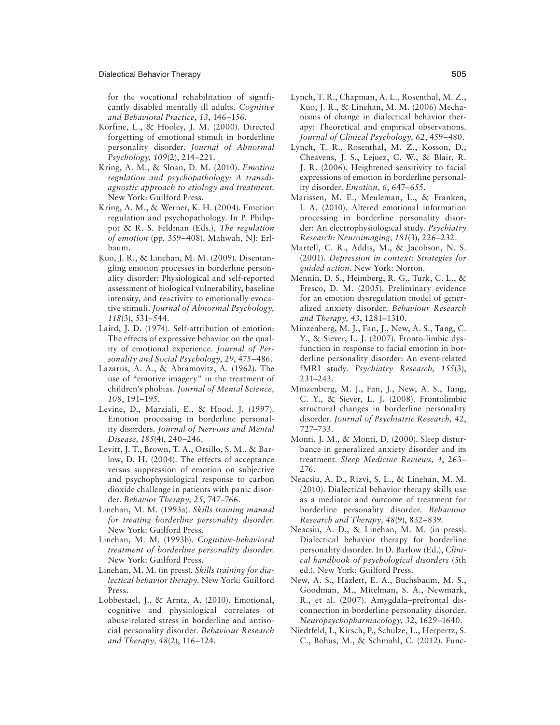for the vocational rehabilitation of significantly disabled mentally ill adults. *Cognitive and Behavioral Practice, 13*, 146–156.

- Korfine, L., & Hooley, J. M. (2000). Directed forgetting of emotional stimuli in borderline personality disorder. *Journal of Abnormal Psychology, 109*(2), 214–221.
- Kring, A. M., & Sloan, D. M. (2010). *Emotion regulation and psychopathology: A transdiagnostic approach to etiology and treatment*. New York: Guilford Press.
- Kring, A. M., & Werner, K. H. (2004). Emotion regulation and psychopathology. In P. Philippot & R. S. Feldman (Eds.), *The regulation of emotion* (pp. 359–408). Mahwah, NJ: Erlbaum.
- Kuo, J. R., & Linehan, M. M. (2009). Disentangling emotion processes in borderline personality disorder: Physiological and self-reported assessment of biological vulnerability, baseline intensity, and reactivity to emotionally evocative stimuli. *Journal of Abnormal Psychology, 118*(3), 531–544.
- Laird, J. D. (1974). Self-attribution of emotion: The effects of expressive behavior on the quality of emotional experience. *Journal of Personality and Social Psychology, 29*, 475–486.
- Lazarus, A. A., & Abramovitz, A. (1962). The use of "emotive imagery" in the treatment of children's phobias. *Journal of Mental Science, 108*, 191–195.
- Levine, D., Marziali, E., & Hood, J. (1997). Emotion processing in borderline personality disorders. *Journal of Nervous and Mental Disease, 185*(4), 240–246.
- Levitt, J. T., Brown, T. A., Orsillo, S. M., & Barlow, D. H. (2004). The effects of acceptance versus suppression of emotion on subjective and psychophysiological response to carbon dioxide challenge in patients with panic disorder. *Behavior Therapy, 25*, 747–766.
- Linehan, M. M. (1993a). *Skills training manual for treating borderline personality disorder*. New York: Guilford Press.
- Linehan, M. M. (1993b). *Cognitive- behavioral treatment of borderline personality disorder*. New York: Guilford Press.
- Linehan, M. M. (in press). *Skills training for dialectical behavior therapy*. New York: Guilford Press.
- Lobbestael, J., & Arntz, A. (2010). Emotional, cognitive and physiological correlates of abuse- related stress in borderline and antisocial personality disorder. *Behaviour Research and Therapy, 48*(2), 116–124.
- Lynch, T. R., Chapman, A. L., Rosenthal, M. Z., Kuo, J. R., & Linehan, M. M. (2006) Mechanisms of change in dialectical behavior therapy: Theoretical and empirical observations. *Journal of Clinical Psychology, 62*, 459–480.
- Lynch, T. R., Rosenthal, M. Z., Kosson, D., Cheavens, J. S., Lejuez, C. W., & Blair, R. J. R. (2006). Heightened sensitivity to facial expressions of emotion in borderline personality disorder. *Emotion, 6*, 647–655.
- Marissen, M. E., Meuleman, L., & Franken, I. A. (2010). Altered emotional information processing in borderline personality disorder: An electrophysiological study. *Psychiatry Research: Neuroimaging, 181*(3), 226–232.
- Martell, C. R., Addis, M., & Jacobson, N. S. (2001). *Depression in context: Strategies for guided action*. New York: Norton.
- Mennin, D. S., Heimberg, R. G., Turk, C. L., & Fresco, D. M. (2005). Preliminary evidence for an emotion dysregulation model of generalized anxiety disorder. *Behaviour Research and Therapy, 43*, 1281–1310.
- Minzenberg, M. J., Fan, J., New, A. S., Tang, C. Y., & Siever, L. J. (2007). Fronto-limbic dysfunction in response to facial emotion in borderline personality disorder: An event-related fMRI study. *Psychiatry Research, 155*(3), 231–243.
- Minzenberg, M. J., Fan, J., New, A. S., Tang, C. Y., & Siever, L. J. (2008). Frontolimbic structural changes in borderline personality disorder. *Journal of Psychiatric Research, 42*, 727–733.
- Monti, J. M., & Monti, D. (2000). Sleep disturbance in generalized anxiety disorder and its treatment. *Sleep Medicine Reviews, 4*, 263– 276.
- Neacsiu, A. D., Rizvi, S. L., & Linehan, M. M. (2010). Dialectical behavior therapy skills use as a mediator and outcome of treatment for borderline personality disorder. *Behaviour Research and Therapy, 48*(9), 832–839.
- Neacsiu, A. D., & Linehan, M. M. (in press). Dialectical behavior therapy for borderline personality disorder. In D. Barlow (Ed.), *Clinical handbook of psychological disorders* (5th ed.). New York: Guilford Press.
- New, A. S., Hazlett, E. A., Buchsbaum, M. S., Goodman, M., Mitelman, S. A., Newmark, R., et al. (2007). Amygdala-prefrontal disconnection in borderline personality disorder. *Neuropsychopharmacology, 32*, 1629–1640.
- Niedtfeld, I., Kirsch, P., Schulze, L., Herpertz, S. C., Bohus, M., & Schmahl, C. (2012). Func-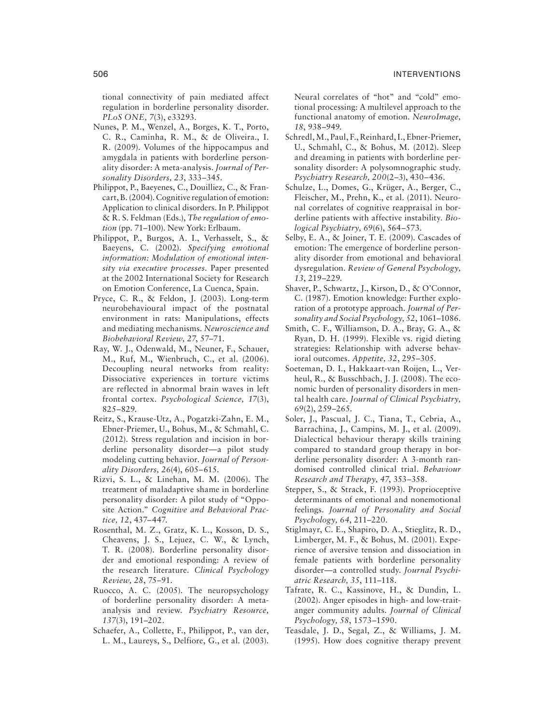tional connectivity of pain mediated affect regulation in borderline personality disorder. *PLoS ONE, 7*(3), e33293.

- Nunes, P. M., Wenzel, A., Borges, K. T., Porto, C. R., Caminha, R. M., & de Oliveira., I. R. (2009). Volumes of the hippocampus and amygdala in patients with borderline personality disorder: A meta- analysis. *Journal of Personality Disorders, 23*, 333–345.
- Philippot, P., Baeyenes, C., Douilliez, C., & Francart, B. (2004). Cognitive regulation of emotion: Application to clinical disorders. In P. Philippot & R. S. Feldman (Eds.), *The regulation of emotion* (pp. 71–100). New York: Erlbaum.
- Philippot, P., Burgos, A. I., Verhasselt, S., & Baeyens, C. (2002). *Specifying emotional information: Modulation of emotional intensity via executive processes*. Paper presented at the 2002 International Society for Research on Emotion Conference, La Cuenca, Spain.
- Pryce, C. R., & Feldon, J. (2003). Long-term neurobehavioural impact of the postnatal environment in rats: Manipulations, effects and mediating mechanisms. *Neuroscience and Biobehavioral Review, 27*, 57–71.
- Ray, W. J., Odenwald, M., Neuner, F., Schauer, M., Ruf, M., Wienbruch, C., et al. (2006). Decoupling neural networks from reality: Dissociative experiences in torture victims are reflected in abnormal brain waves in left frontal cortex. *Psychological Science, 17*(3), 825–829.
- Reitz, S., Krause-Utz, A., Pogatzki-Zahn, E. M., Ebner- Priemer, U., Bohus, M., & Schmahl, C. (2012). Stress regulation and incision in borderline personality disorder—a pilot study modeling cutting behavior. *Journal of Personality Disorders, 26*(4), 605–615.
- Rizvi, S. L., & Linehan, M. M. (2006). The treatment of maladaptive shame in borderline personality disorder: A pilot study of "Opposite Action." *Cognitive and Behavioral Practice, 12*, 437–447.
- Rosenthal, M. Z., Gratz, K. L., Kosson, D. S., Cheavens, J. S., Lejuez, C. W., & Lynch, T. R. (2008). Borderline personality disorder and emotional responding: A review of the research literature. *Clinical Psychology Review, 28*, 75–91.
- Ruocco, A. C. (2005). The neuropsychology of borderline personality disorder: A metaanalysis and review. *Psychiatry Resource, 137*(3), 191–202.
- Schaefer, A., Collette, F., Philippot, P., van der, L. M., Laureys, S., Delfiore, G., et al. (2003).

Neural correlates of "hot" and "cold" emotional processing: A multilevel approach to the functional anatomy of emotion. *NeuroImage, 18*, 938–949.

- Schredl, M., Paul, F., Reinhard, I., Ebner- Priemer, U., Schmahl, C., & Bohus, M. (2012). Sleep and dreaming in patients with borderline personality disorder: A polysomnographic study. *Psychiatry Research, 200*(2–3), 430–436.
- Schulze, L., Domes, G., Krüger, A., Berger, C., Fleischer, M., Prehn, K., et al. (2011). Neuronal correlates of cognitive reappraisal in borderline patients with affective instability. *Biological Psychiatry, 69*(6), 564–573.
- Selby, E. A., & Joiner, T. E. (2009). Cascades of emotion: The emergence of borderline personality disorder from emotional and behavioral dysregulation. *Review of General Psychology, 13*, 219–229.
- Shaver, P., Schwartz, J., Kirson, D., & O'Connor, C. (1987). Emotion knowledge: Further exploration of a prototype approach. *Journal of Personality and Social Psychology, 52*, 1061–1086.
- Smith, C. F., Williamson, D. A., Bray, G. A., & Ryan, D. H. (1999). Flexible vs. rigid dieting strategies: Relationship with adverse behavioral outcomes. *Appetite, 32*, 295–305.
- Soeteman, D. I., Hakkaart-van Roijen, L., Verheul, R., & Busschbach, J. J. (2008). The economic burden of personality disorders in mental health care. *Journal of Clinical Psychiatry, 69*(2), 259–265.
- Soler, J., Pascual, J. C., Tiana, T., Cebria, A., Barrachina, J., Campins, M. J., et al. (2009). Dialectical behaviour therapy skills training compared to standard group therapy in borderline personality disorder: A 3-month randomised controlled clinical trial. *Behaviour Research and Therapy, 47*, 353–358.
- Stepper, S., & Strack, F. (1993). Proprioceptive determinants of emotional and nonemotional feelings. *Journal of Personality and Social Psychology, 64*, 211–220.
- Stiglmayr, C. E., Shapiro, D. A., Stieglitz, R. D., Limberger, M. F., & Bohus, M. (2001). Experience of aversive tension and dissociation in female patients with borderline personality disorder— a controlled study. *Journal Psychiatric Research, 35*, 111–118.
- Tafrate, R. C., Kassinove, H., & Dundin, L. (2002). Anger episodes in high- and low-traitanger community adults. *Journal of Clinical Psychology, 58*, 1573–1590.
- Teasdale, J. D., Segal, Z., & Williams, J. M. (1995). How does cognitive therapy prevent